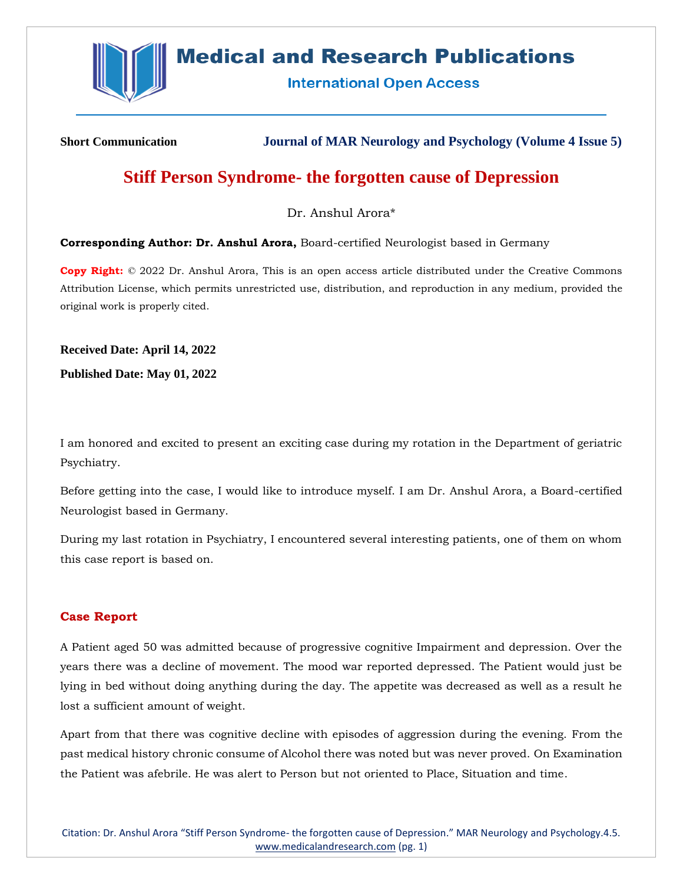

# **Medical and Research Publications**

**International Open Access** 

**Short Communication Journal of MAR Neurology and Psychology (Volume 4 Issue 5)**

## **Stiff Person Syndrome- the forgotten cause of Depression**

Dr. Anshul Arora\*

**Corresponding Author: Dr. Anshul Arora,** Board-certified Neurologist based in Germany

**Copy Right:** © 2022 Dr. Anshul Arora, This is an open access article distributed under the Creative Commons Attribution License, which permits unrestricted use, distribution, and reproduction in any medium, provided the original work is properly cited.

**Received Date: April 14, 2022**

**Published Date: May 01, 2022**

I am honored and excited to present an exciting case during my rotation in the Department of geriatric Psychiatry.

Before getting into the case, I would like to introduce myself. I am Dr. Anshul Arora, a Board-certified Neurologist based in Germany.

During my last rotation in Psychiatry, I encountered several interesting patients, one of them on whom this case report is based on.

## **Case Report**

A Patient aged 50 was admitted because of progressive cognitive Impairment and depression. Over the years there was a decline of movement. The mood war reported depressed. The Patient would just be lying in bed without doing anything during the day. The appetite was decreased as well as a result he lost a sufficient amount of weight.

Apart from that there was cognitive decline with episodes of aggression during the evening. From the past medical history chronic consume of Alcohol there was noted but was never proved. On Examination the Patient was afebrile. He was alert to Person but not oriented to Place, Situation and time.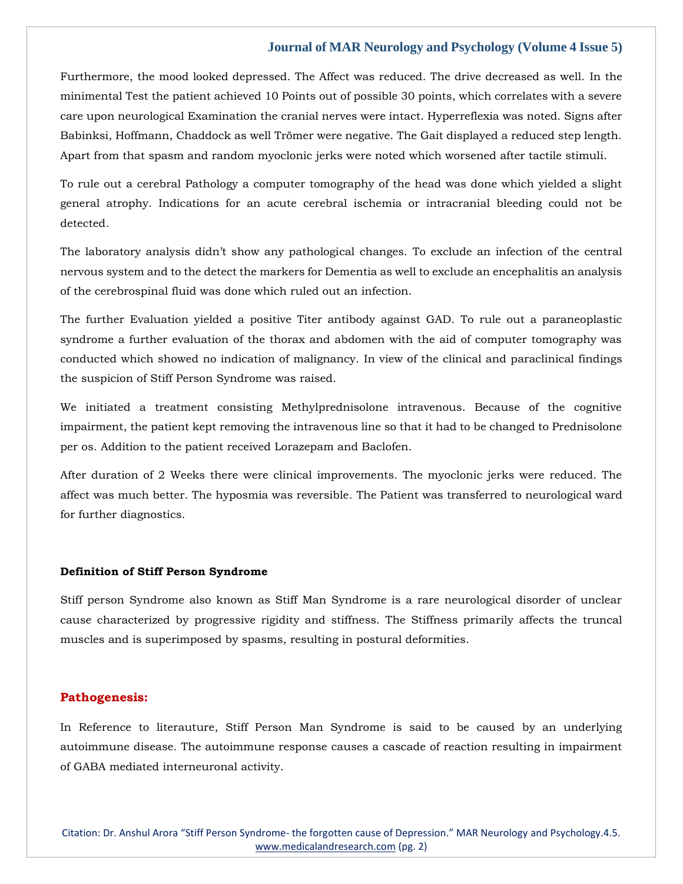Furthermore, the mood looked depressed. The Affect was reduced. The drive decreased as well. In the minimental Test the patient achieved 10 Points out of possible 30 points, which correlates with a severe care upon neurological Examination the cranial nerves were intact. Hyperreflexia was noted. Signs after Babinksi, Hoffmann, Chaddock as well Trömer were negative. The Gait displayed a reduced step length. Apart from that spasm and random myoclonic jerks were noted which worsened after tactile stimuli.

To rule out a cerebral Pathology a computer tomography of the head was done which yielded a slight general atrophy. Indications for an acute cerebral ischemia or intracranial bleeding could not be detected.

The laboratory analysis didn't show any pathological changes. To exclude an infection of the central nervous system and to the detect the markers for Dementia as well to exclude an encephalitis an analysis of the cerebrospinal fluid was done which ruled out an infection.

The further Evaluation yielded a positive Titer antibody against GAD. To rule out a paraneoplastic syndrome a further evaluation of the thorax and abdomen with the aid of computer tomography was conducted which showed no indication of malignancy. In view of the clinical and paraclinical findings the suspicion of Stiff Person Syndrome was raised.

We initiated a treatment consisting Methylprednisolone intravenous. Because of the cognitive impairment, the patient kept removing the intravenous line so that it had to be changed to Prednisolone per os. Addition to the patient received Lorazepam and Baclofen.

After duration of 2 Weeks there were clinical improvements. The myoclonic jerks were reduced. The affect was much better. The hyposmia was reversible. The Patient was transferred to neurological ward for further diagnostics.

#### **Definition of Stiff Person Syndrome**

Stiff person Syndrome also known as Stiff Man Syndrome is a rare neurological disorder of unclear cause characterized by progressive rigidity and stiffness. The Stiffness primarily affects the truncal muscles and is superimposed by spasms, resulting in postural deformities.

#### **Pathogenesis:**

In Reference to literauture, Stiff Person Man Syndrome is said to be caused by an underlying autoimmune disease. The autoimmune response causes a cascade of reaction resulting in impairment of GABA mediated interneuronal activity.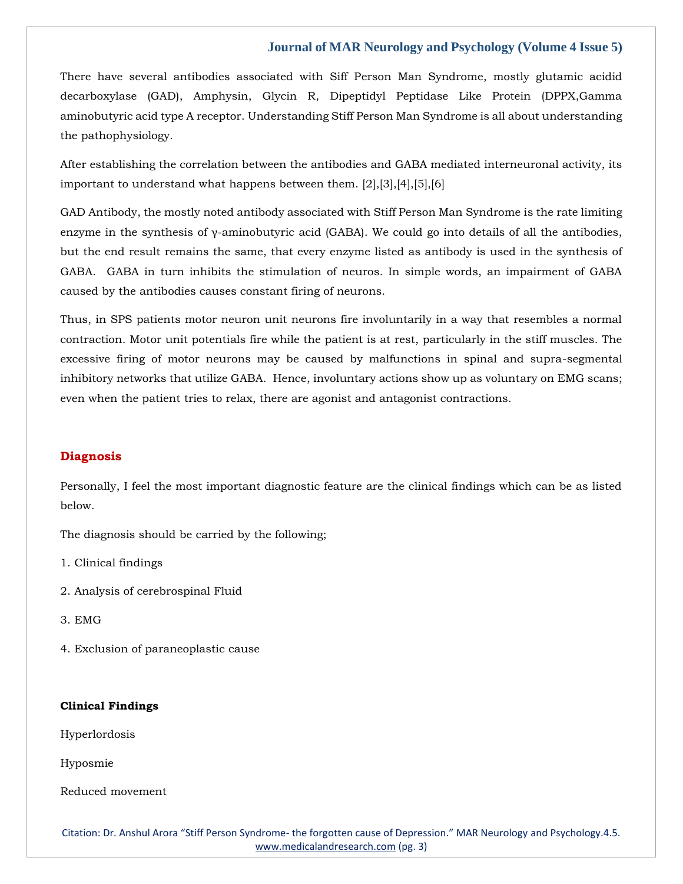There have several antibodies associated with Siff Person Man Syndrome, mostly glutamic acidid decarboxylase (GAD), Amphysin, Glycin R, Dipeptidyl Peptidase Like Protein (DPPX,Gamma aminobutyric acid type A receptor. Understanding Stiff Person Man Syndrome is all about understanding the pathophysiology.

After establishing the correlation between the antibodies and GABA mediated interneuronal activity, its important to understand what happens between them. [2],[3],[4],[5],[6]

GAD Antibody, the mostly noted antibody associated with Stiff Person Man Syndrome is the rate limiting enzyme in the synthesis of γ-aminobutyric acid (GABA). We could go into details of all the antibodies, but the end result remains the same, that every enzyme listed as antibody is used in the synthesis of GABA. GABA in turn inhibits the stimulation of neuros. In simple words, an impairment of GABA caused by the antibodies causes constant firing of neurons.

Thus, in SPS patients motor neuron unit neurons fire involuntarily in a way that resembles a normal contraction. Motor unit potentials fire while the patient is at rest, particularly in the stiff muscles. The excessive firing of motor neurons may be caused by malfunctions in spinal and supra-segmental inhibitory networks that utilize GABA. Hence, involuntary actions show up as voluntary on EMG scans; even when the patient tries to relax, there are agonist and antagonist contractions.

## **Diagnosis**

Personally, I feel the most important diagnostic feature are the clinical findings which can be as listed below.

The diagnosis should be carried by the following;

1. Clinical findings

- 2. Analysis of cerebrospinal Fluid
- 3. EMG
- 4. Exclusion of paraneoplastic cause

#### **Clinical Findings**

Hyperlordosis

Hyposmie

Reduced movement

Citation: Dr. Anshul Arora "Stiff Person Syndrome- the forgotten cause of Depression." MAR Neurology and Psychology.4.5. [www.medicalandresearch.com](http://www.medicalandresearch.com/) (pg. 3)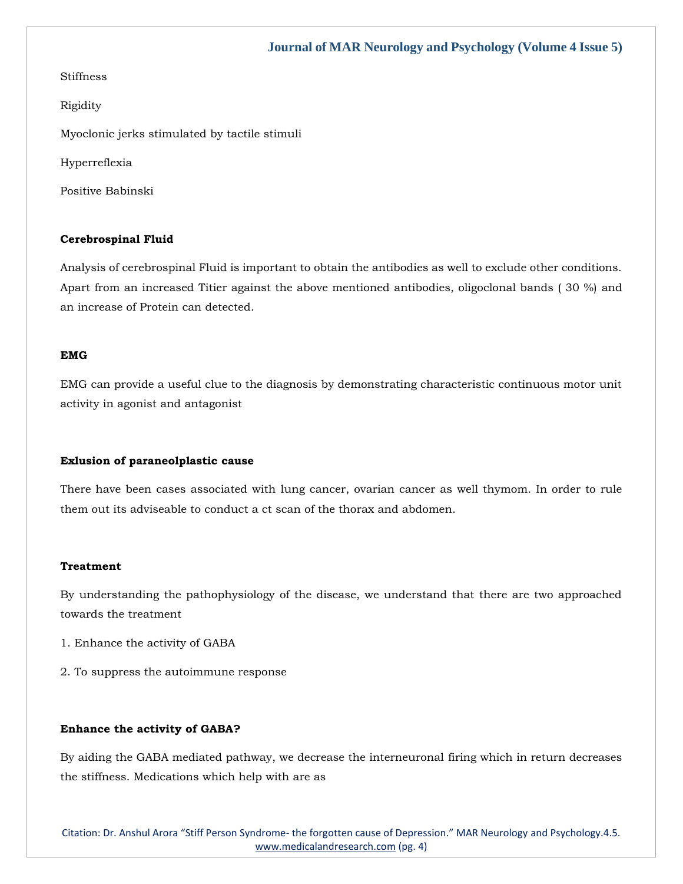## Stiffness

Rigidity

Myoclonic jerks stimulated by tactile stimuli

Hyperreflexia

Positive Babinski

## **Cerebrospinal Fluid**

Analysis of cerebrospinal Fluid is important to obtain the antibodies as well to exclude other conditions. Apart from an increased Titier against the above mentioned antibodies, oligoclonal bands ( 30 %) and an increase of Protein can detected.

#### **EMG**

EMG can provide a useful clue to the diagnosis by demonstrating characteristic continuous motor unit activity in agonist and antagonist

#### **Exlusion of paraneolplastic cause**

There have been cases associated with lung cancer, ovarian cancer as well thymom. In order to rule them out its adviseable to conduct a ct scan of the thorax and abdomen.

#### **Treatment**

By understanding the pathophysiology of the disease, we understand that there are two approached towards the treatment

- 1. Enhance the activity of GABA
- 2. To suppress the autoimmune response

#### **Enhance the activity of GABA?**

By aiding the GABA mediated pathway, we decrease the interneuronal firing which in return decreases the stiffness. Medications which help with are as

Citation: Dr. Anshul Arora "Stiff Person Syndrome- the forgotten cause of Depression." MAR Neurology and Psychology.4.5. [www.medicalandresearch.com](http://www.medicalandresearch.com/) (pg. 4)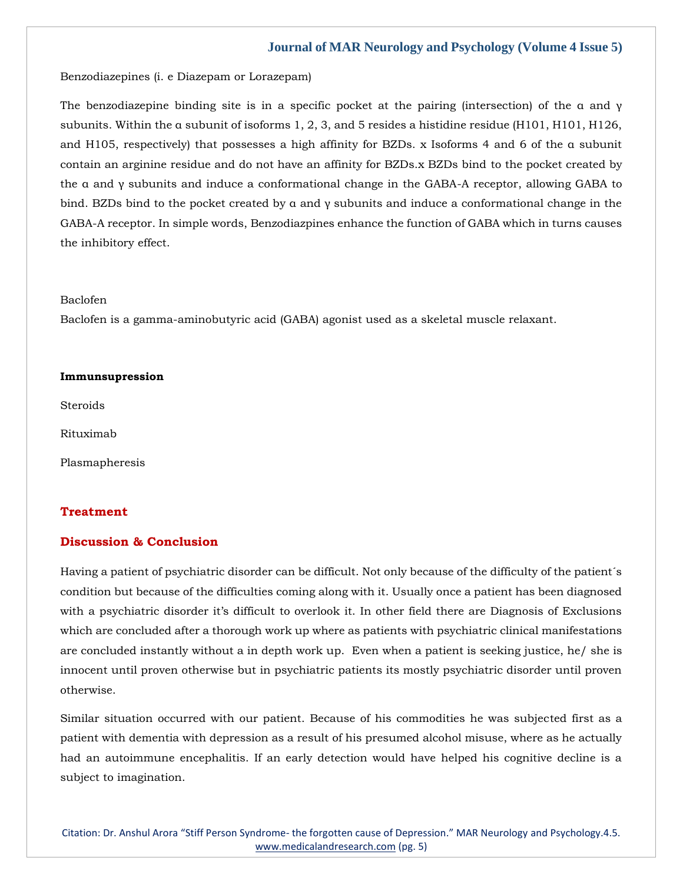Benzodiazepines (i. e Diazepam or Lorazepam)

The benzodiazepine binding site is in a specific pocket at the pairing (intersection) of the α and γ subunits. Within the α subunit of isoforms 1, 2, 3, and 5 resides a histidine residue (H101, H101, H126, and H105, respectively) that possesses a high affinity for BZDs. x Isoforms 4 and 6 of the α subunit contain an arginine residue and do not have an affinity for BZDs.x BZDs bind to the pocket created by the α and γ subunits and induce a conformational change in the GABA-A receptor, allowing GABA to bind. BZDs bind to the pocket created by α and γ subunits and induce a conformational change in the GABA-A receptor. In simple words, Benzodiazpines enhance the function of GABA which in turns causes the inhibitory effect.

#### Baclofen

Baclofen is a gamma-aminobutyric acid (GABA) agonist used as a skeletal muscle relaxant.

#### **Immunsupression**

**Steroids** 

Rituximab

Plasmapheresis

## **Treatment**

### **Discussion & Conclusion**

Having a patient of psychiatric disorder can be difficult. Not only because of the difficulty of the patient´s condition but because of the difficulties coming along with it. Usually once a patient has been diagnosed with a psychiatric disorder it's difficult to overlook it. In other field there are Diagnosis of Exclusions which are concluded after a thorough work up where as patients with psychiatric clinical manifestations are concluded instantly without a in depth work up. Even when a patient is seeking justice, he/ she is innocent until proven otherwise but in psychiatric patients its mostly psychiatric disorder until proven otherwise.

Similar situation occurred with our patient. Because of his commodities he was subjected first as a patient with dementia with depression as a result of his presumed alcohol misuse, where as he actually had an autoimmune encephalitis. If an early detection would have helped his cognitive decline is a subject to imagination.